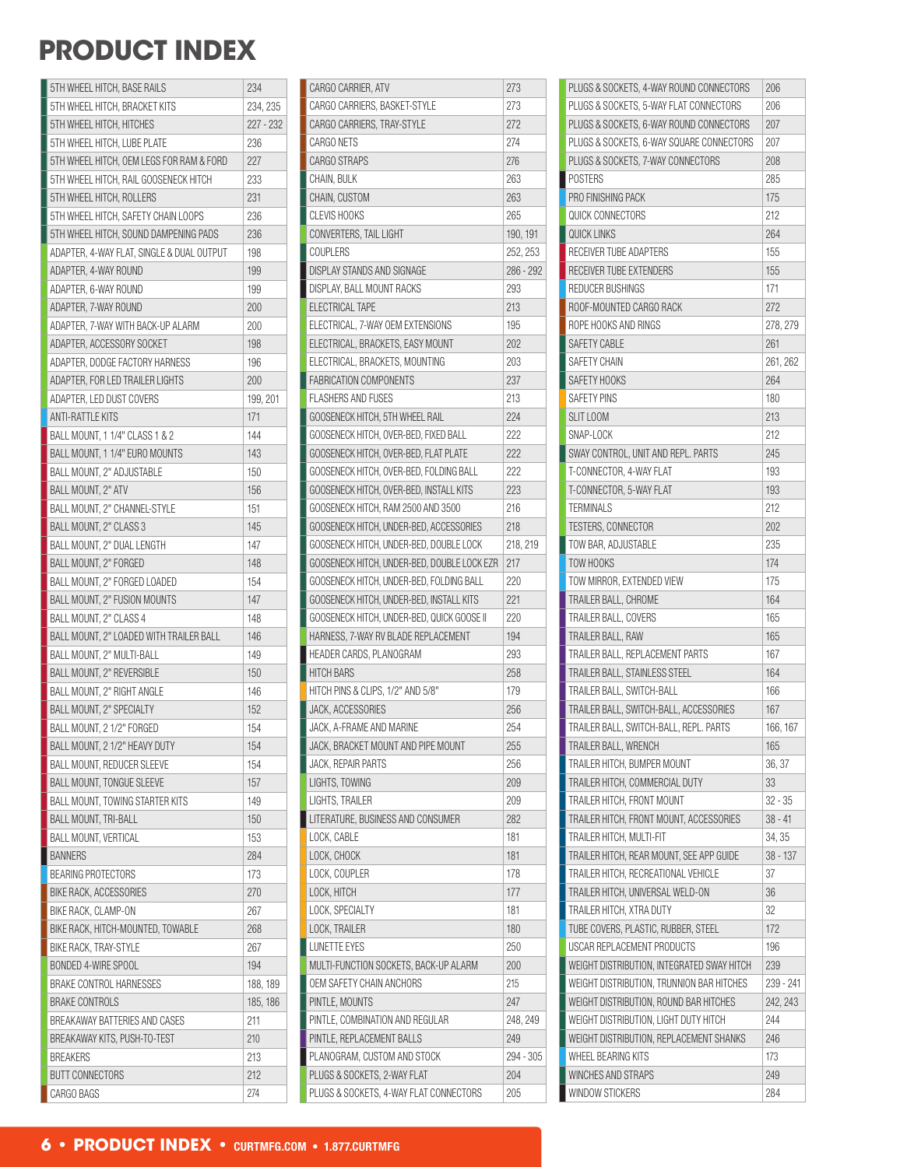### **PRODUCT INDEX**

| 5TH WHEEL HITCH, BASE RAILS                  | 234                  |
|----------------------------------------------|----------------------|
| 5TH WHEEL HITCH, BRACKET KITS                | 234, 235             |
| 5TH WHEEL HITCH, HITCHES                     | 227 - 232            |
| 5TH WHEEL HITCH, LUBE PLATE                  | 236                  |
| 5TH WHEEL HITCH, OEM LEGS FOR RAM & FORD     | 227                  |
| 5TH WHEEL HITCH, RAIL GOOSENECK HITCH        | 233                  |
| 5TH WHEEL HITCH, ROLLERS                     | 231                  |
| 5TH WHEEL HITCH, SAFETY CHAIN LOOPS          | 236                  |
| 5TH WHEEL HITCH, SOUND DAMPENING PADS        | 236                  |
| ADAPTER, 4-WAY FLAT, SINGLE & DUAL OUTPUT    | 198                  |
| ADAPTER, 4-WAY ROUND                         | 199                  |
| ADAPTER, 6-WAY ROUND                         | 199                  |
| ADAPTER, 7-WAY ROUND                         | 200                  |
| ADAPTER, 7-WAY WITH BACK-UP ALARM            | 200                  |
| ADAPTER, ACCESSORY SOCKET                    | 198                  |
| ADAPTER, DODGE FACTORY HARNESS               | 196                  |
| ADAPTER, FOR LED TRAILER LIGHTS              | 200                  |
| ADAPTER, LED DUST COVERS                     | 199, 201             |
| <b>ANTI-RATTLE KITS</b>                      | 171                  |
| BALL MOUNT, 1 1/4" CLASS 1 & 2               | 144                  |
| BALL MOUNT. 1 1/4" EURO MOUNTS               | 143                  |
| BALL MOUNT, 2" ADJUSTABLE                    | 150                  |
| BALL MOUNT, 2" ATV                           | 156                  |
| BALL MOUNT, 2" CHANNEL-STYLE                 | 151                  |
| BALL MOUNT, 2" CLASS 3                       | 145                  |
| BALL MOUNT, 2" DUAL LENGTH                   | 147                  |
| BALL MOUNT, 2" FORGED                        | 148                  |
| BALL MOUNT, 2" FORGED LOADED                 | 154                  |
| BALL MOUNT, 2" FUSION MOUNTS                 | 147                  |
| BALL MOUNT, 2" CLASS 4                       | 148                  |
| BALL MOUNT, 2" LOADED WITH TRAILER BALL      | 146                  |
| BALL MOUNT, 2" MULTI-BALL                    | 149                  |
| BALL MOUNT, 2" REVERSIBLE                    | 150                  |
| <b>BALL MOUNT. 2" RIGHT ANGLE</b>            | 146                  |
| BALL MOUNT, 2" SPECIALTY                     | 152                  |
| BALL MOUNT, 2 1/2" FORGED                    | 154                  |
| BALL MOUNT, 2 1/2" HEAVY DUTY                | 154                  |
| <b>BALL MOUNT, REDUCER SLEEVE</b>            | 154                  |
| <b>BALL MOUNT, TONGUE SLEEVE</b>             | 157                  |
| BALL MOUNT, TOWING STARTER KITS              | 149                  |
| <b>BALL MOUNT, TRI-BALL</b>                  | 150                  |
| <b>BALL MOUNT, VERTICAL</b>                  | 153                  |
| <b>BANNERS</b>                               | 284                  |
| <b>BEARING PROTECTORS</b>                    | 173                  |
| <b>BIKE RACK, ACCESSORIES</b>                | 270                  |
| BIKE RACK, CLAMP-ON                          | 267                  |
| BIKE RACK, HITCH-MOUNTED, TOWABLE            | 268                  |
| BIKE RACK, TRAY-STYLE<br>BONDED 4-WIRE SPOOL | 267                  |
| <b>BRAKE CONTROL HARNESSES</b>               | 194                  |
| <b>BRAKE CONTROLS</b>                        | 188, 189<br>185, 186 |
| BREAKAWAY BATTERIES AND CASES                | 211                  |
| BREAKAWAY KITS, PUSH-TO-TEST                 | 210                  |
| <b>BREAKERS</b>                              | 213                  |
| <b>BUTT CONNECTORS</b>                       | 212                  |
| CARGO BAGS                                   | 274                  |
|                                              |                      |

| CARGO CARRIER, ATV                          | 273       |
|---------------------------------------------|-----------|
| CARGO CARRIERS, BASKET-STYLE                | 273       |
| CARGO CARRIERS, TRAY-STYLE                  | 272       |
| <b>CARGO NETS</b>                           | 274       |
| <b>CARGO STRAPS</b>                         | 276       |
| CHAIN, BULK                                 | 263       |
| CHAIN, CUSTOM                               | 263       |
| <b>CLEVIS HOOKS</b>                         | 265       |
| CONVERTERS, TAIL LIGHT                      | 190, 191  |
| COUPLERS                                    | 252, 253  |
| DISPLAY STANDS AND SIGNAGE                  | 286 - 292 |
| DISPLAY. BALL MOUNT RACKS                   | 293       |
| ELECTRICAL TAPE                             | 213       |
| ELECTRICAL, 7-WAY OEM EXTENSIONS            | 195       |
| ELECTRICAL, BRACKETS, EASY MOUNT            | 202       |
| ELECTRICAL, BRACKETS, MOUNTING              | 203       |
| <b>FABRICATION COMPONENTS</b>               | 237       |
| <b>FLASHERS AND FUSES</b>                   | 213       |
| GOOSENECK HITCH, 5TH WHEEL RAIL             | 224       |
| GOOSENECK HITCH, OVER-BED, FIXED BALL       | 222       |
| GOOSENECK HITCH, OVER-BED, FLAT PLATE       | 222       |
| GOOSENECK HITCH, OVER-BED, FOLDING BALL     | 222       |
| GOOSENECK HITCH, OVER-BED, INSTALL KITS     | 223       |
| GOOSENECK HITCH, RAM 2500 AND 3500          | 216       |
| GOOSENECK HITCH, UNDER-BED, ACCESSORIES     | 218       |
| GOOSENECK HITCH, UNDER-BED, DOUBLE LOCK     | 218, 219  |
| GOOSENECK HITCH, UNDER-BED, DOUBLE LOCK EZR | 217       |
| GOOSENECK HITCH, UNDER-BED, FOLDING BALL    | 220       |
| GOOSENECK HITCH, UNDER-BED, INSTALL KITS    | 221       |
| GOOSENECK HITCH, UNDER-BED, QUICK GOOSE II  | 220       |
| HARNESS, 7-WAY RV BLADE REPLACEMENT         | 194       |
| HEADER CARDS, PLANOGRAM                     | 293       |
| <b>HITCH BARS</b>                           | 258       |
| HITCH PINS & CLIPS, 1/2" AND 5/8"           | 179       |
| JACK, ACCESSORIES                           | 256       |
| JACK, A-FRAME AND MARINE                    | 254       |
| JACK, BRACKET MOUNT AND PIPE MOUNT          | 255       |
| JACK, REPAIR PARTS                          | 256       |
| LIGHTS, TOWING                              | 209       |
| LIGHTS, TRAILER                             | 209       |
| LITERATURE, BUSINESS AND CONSUMER           | 282       |
| LOCK, CABLE                                 | 181       |
| LOCK, CHOCK                                 | 181       |
| LOCK, COUPLER                               | 178       |
| LOCK, HITCH                                 | 177       |
| LOCK, SPECIALTY                             | 181       |
| LOCK, TRAILER                               | 180       |
| LUNETTE EYES                                | 250       |
|                                             |           |
| MULTI-FUNCTION SOCKETS, BACK-UP ALARM       | 200       |
| OEM SAFETY CHAIN ANCHORS                    | 215       |
| PINTLE, MOUNTS                              | 247       |
| PINTLE, COMBINATION AND REGULAR             | 248, 249  |
| PINTLE, REPLACEMENT BALLS                   | 249       |
| PLANOGRAM, CUSTOM AND STOCK                 | 294 - 305 |
| PLUGS & SOCKETS, 2-WAY FLAT                 | 204       |
| PLUGS & SOCKETS, 4-WAY FLAT CONNECTORS      | 205       |

| PLUGS & SOCKETS, 4-WAY ROUND CONNECTORS    | 206       |
|--------------------------------------------|-----------|
| PLUGS & SOCKETS, 5-WAY FLAT CONNECTORS     | 206       |
| PLUGS & SOCKETS, 6-WAY ROUND CONNECTORS    | 207       |
| PLUGS & SOCKETS, 6-WAY SQUARE CONNECTORS   | 207       |
| PLUGS & SOCKETS, 7-WAY CONNECTORS          | 208       |
| POSTERS                                    | 285       |
| PRO FINISHING PACK                         | 175       |
| QUICK CONNECTORS                           | 212       |
| <b>QUICK LINKS</b>                         | 264       |
| RECEIVER TUBE ADAPTERS                     | 155       |
| RECEIVER TUBE EXTENDERS                    | 155       |
| REDUCER BUSHINGS                           | 171       |
| ROOF-MOUNTED CARGO RACK                    | 272       |
| ROPE HOOKS AND RINGS                       | 278, 279  |
| <b>SAFETY CABLE</b>                        | 261       |
| SAFETY CHAIN                               | 261, 262  |
| SAFETY HOOKS                               | 264       |
| <b>SAFETY PINS</b>                         | 180       |
| SLIT LOOM                                  | 213       |
| SNAP-LOCK                                  | 212       |
| SWAY CONTROL, UNIT AND REPL. PARTS         | 245       |
| T-CONNECTOR, 4-WAY FLAT                    | 193       |
| T-CONNECTOR, 5-WAY FLAT                    | 193       |
| TERMINALS                                  | 212       |
| TESTERS, CONNECTOR                         | 202       |
| TOW BAR, ADJUSTABLE                        | 235       |
| TOW HOOKS                                  | 174       |
| TOW MIRROR, EXTENDED VIEW                  | 175       |
| TRAILER BALL, CHROME                       | 164       |
| TRAILER BALL, COVERS                       | 165       |
| TRAILER BALL, RAW                          | 165       |
| TRAILER BALL, REPLACEMENT PARTS            | 167       |
| TRAILER BALL, STAINLESS STEEL              | 164       |
| TRAILER BALL, SWITCH-BALL                  | 166       |
| TRAILER BALL, SWITCH-BALL, ACCESSORIES     | 167       |
| TRAILER BALL, SWITCH-BALL, REPL. PARTS     | 166, 167  |
| TRAILER BALL, WRENCH                       | 165       |
| TRAILER HITCH, BUMPER MOUNT                | 36, 37    |
| TRAILER HITCH, COMMERCIAL DUTY             | 33        |
| TRAILER HITCH, FRONT MOUNT                 | 32 - 35   |
| TRAILER HITCH, FRONT MOUNT, ACCESSORIES    | $38 - 41$ |
| TRAILER HITCH, MULTI-FIT                   | 34, 35    |
| TRAILER HITCH, REAR MOUNT, SEE APP GUIDE   | 38 - 137  |
| TRAILER HITCH, RECREATIONAL VEHICLE        | 37        |
| TRAILER HITCH, UNIVERSAL WELD-ON           | 36        |
| TRAILER HITCH, XTRA DUTY                   | 32        |
| TUBE COVERS, PLASTIC, RUBBER, STEEL        | 172       |
| USCAR REPLACEMENT PRODUCTS                 | 196       |
| WEIGHT DISTRIBUTION, INTEGRATED SWAY HITCH | 239       |
| WEIGHT DISTRIBUTION, TRUNNION BAR HITCHES  | 239 - 241 |
| WEIGHT DISTRIBUTION, ROUND BAR HITCHES     | 242, 243  |
| WEIGHT DISTRIBUTION, LIGHT DUTY HITCH      | 244       |
| WEIGHT DISTRIBUTION, REPLACEMENT SHANKS    | 246       |
| WHEEL BEARING KITS                         | 173       |
| WINCHES AND STRAPS                         | 249       |
| WINDOW STICKERS                            | 284       |